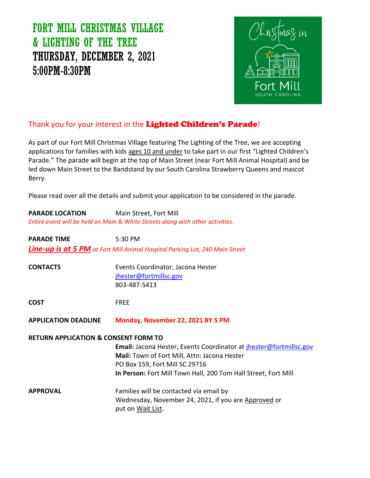# FORT MILL CHRISTMAS VILLAGE & LIGHTING OF THE TREE THURSDAY, DECEMBER 2, 2021 5:00PM-8:30PM



### Thank you for your interest in the Lighted Children's Parade!

As part of our Fort Mill Christmas Village featuring The Lighting of the Tree, we are accepting applications for families with kids ages 10 and under to take part in our first "Lighted Children's Parade." The parade will begin at the top of Main Street (near Fort Mill Animal Hospital) and be led down Main Street to the Bandstand by our South Carolina Strawberry Queens and mascot Berry.

Please read over all the details and submit your application to be considered in the parade.

| <b>PARADE LOCATION</b> | Main Street, Fort Mill                                                         |
|------------------------|--------------------------------------------------------------------------------|
|                        | Entire event will be held on Main & White Streets along with other activities. |
| <b>PARADE TIME</b>     | $5:30 \text{ PM}$                                                              |

*Line-up is at 5 PM at Fort Mill Animal Hospital Parking Lot, 240 Main Street*

| <b>CONTACTS</b> | Events Coordinator, Jacona Hester |  |
|-----------------|-----------------------------------|--|
|                 | jhester@fortmillsc.gov            |  |
|                 | 803-487-5413                      |  |

**COST** FREE

**APPLICATION DEADLINE Monday, November 22, 2021 BY 5 PM**

### **RETURN APPLICATION & CONSENT FORM TO**

**Email:** Jacona Hester, Events Coordinator at [jhester@fortmillsc.gov](mailto:jhester@fortmillsc.gov) **Mail:** Town of Fort Mill, Attn: Jacona Hester PO Box 159, Fort Mill SC 29716 **In Person:** Fort Mill Town Hall, 200 Tom Hall Street, Fort Mill

**APPROVAL Example 5 Families will be contacted via email by** Wednesday, November 24, 2021, if you are Approved or put on Wait List.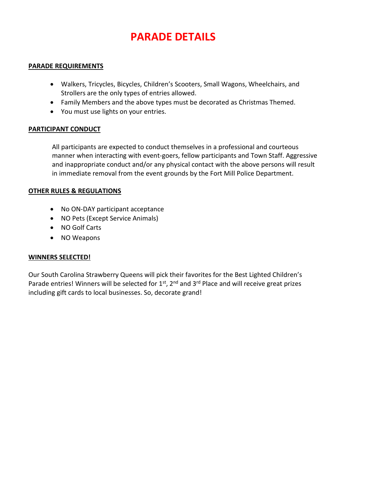# **PARADE DETAILS**

### **PARADE REQUIREMENTS**

- Walkers, Tricycles, Bicycles, Children's Scooters, Small Wagons, Wheelchairs, and Strollers are the only types of entries allowed.
- Family Members and the above types must be decorated as Christmas Themed.
- You must use lights on your entries.

### **PARTICIPANT CONDUCT**

All participants are expected to conduct themselves in a professional and courteous manner when interacting with event-goers, fellow participants and Town Staff. Aggressive and inappropriate conduct and/or any physical contact with the above persons will result in immediate removal from the event grounds by the Fort Mill Police Department.

#### **OTHER RULES & REGULATIONS**

- No ON-DAY participant acceptance
- NO Pets (Except Service Animals)
- NO Golf Carts
- NO Weapons

### **WINNERS SELECTED!**

Our South Carolina Strawberry Queens will pick their favorites for the Best Lighted Children's Parade entries! Winners will be selected for  $1<sup>st</sup>$ ,  $2<sup>nd</sup>$  and  $3<sup>rd</sup>$  Place and will receive great prizes including gift cards to local businesses. So, decorate grand!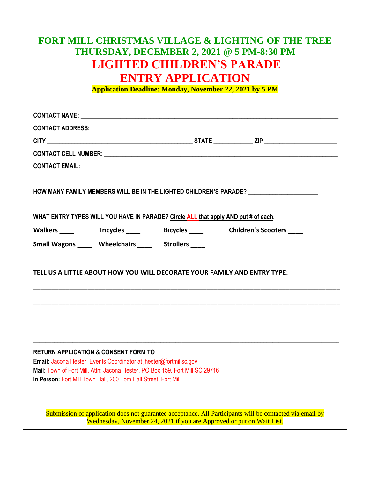## **FORT MILL CHRISTMAS VILLAGE & LIGHTING OF THE TREE THURSDAY, DECEMBER 2, 2021 @ 5 PM-8:30 PM LIGHTED CHILDREN'S PARADE ENTRY APPLICATION**

**Application Deadline: Monday, November 22, 2021 by 5 PM**

|                                                 |                                                                                                                                                                                                                      |                                                                                    | HOW MANY FAMILY MEMBERS WILL BE IN THE LIGHTED CHILDREN'S PARADE? _______________ |
|-------------------------------------------------|----------------------------------------------------------------------------------------------------------------------------------------------------------------------------------------------------------------------|------------------------------------------------------------------------------------|-----------------------------------------------------------------------------------|
|                                                 |                                                                                                                                                                                                                      | WHAT ENTRY TYPES WILL YOU HAVE IN PARADE? Circle ALL that apply AND put # of each. |                                                                                   |
|                                                 |                                                                                                                                                                                                                      |                                                                                    | Walkers ______ Tricycles _____ Bicycles ____ Children's Scooters ____             |
|                                                 | Small Wagons Wheelchairs Strollers                                                                                                                                                                                   |                                                                                    |                                                                                   |
|                                                 |                                                                                                                                                                                                                      | TELL US A LITTLE ABOUT HOW YOU WILL DECORATE YOUR FAMILY AND ENTRY TYPE:           |                                                                                   |
|                                                 |                                                                                                                                                                                                                      |                                                                                    |                                                                                   |
|                                                 |                                                                                                                                                                                                                      |                                                                                    |                                                                                   |
|                                                 |                                                                                                                                                                                                                      |                                                                                    |                                                                                   |
| <b>RETURN APPLICATION &amp; CONSENT FORM TO</b> | Email: Jacona Hester, Events Coordinator at ihester@fortmillsc.gov<br>Mail: Town of Fort Mill, Attn: Jacona Hester, PO Box 159, Fort Mill SC 29716<br>In Person: Fort Mill Town Hall, 200 Tom Hall Street, Fort Mill |                                                                                    |                                                                                   |

Submission of application does not guarantee acceptance. All Participants will be contacted via email by Wednesday, November 24, 2021 if you are Approved or put on Wait List.